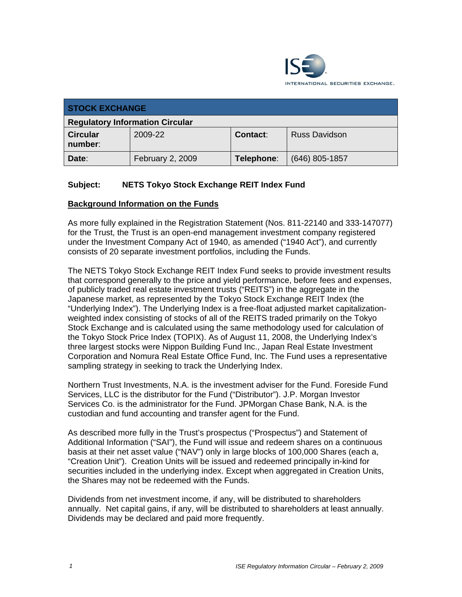

| <b>STOCK EXCHANGE</b>                  |                  |                 |                      |  |
|----------------------------------------|------------------|-----------------|----------------------|--|
| <b>Regulatory Information Circular</b> |                  |                 |                      |  |
| <b>Circular</b><br>number:             | 2009-22          | <b>Contact:</b> | <b>Russ Davidson</b> |  |
| Date:                                  | February 2, 2009 | Telephone:      | $(646)$ 805-1857     |  |

## **Subject: NETS Tokyo Stock Exchange REIT Index Fund**

#### **Background Information on the Funds**

As more fully explained in the Registration Statement (Nos. 811-22140 and 333-147077) for the Trust, the Trust is an open-end management investment company registered under the Investment Company Act of 1940, as amended ("1940 Act"), and currently consists of 20 separate investment portfolios, including the Funds.

The NETS Tokyo Stock Exchange REIT Index Fund seeks to provide investment results that correspond generally to the price and yield performance, before fees and expenses, of publicly traded real estate investment trusts ("REITS") in the aggregate in the Japanese market, as represented by the Tokyo Stock Exchange REIT Index (the "Underlying Index"). The Underlying Index is a free-float adjusted market capitalizationweighted index consisting of stocks of all of the REITS traded primarily on the Tokyo Stock Exchange and is calculated using the same methodology used for calculation of the Tokyo Stock Price Index (TOPIX). As of August 11, 2008, the Underlying Index's three largest stocks were Nippon Building Fund Inc., Japan Real Estate Investment Corporation and Nomura Real Estate Office Fund, Inc. The Fund uses a representative sampling strategy in seeking to track the Underlying Index.

Northern Trust Investments, N.A. is the investment adviser for the Fund. Foreside Fund Services, LLC is the distributor for the Fund ("Distributor"). J.P. Morgan Investor Services Co. is the administrator for the Fund. JPMorgan Chase Bank, N.A. is the custodian and fund accounting and transfer agent for the Fund.

As described more fully in the Trust's prospectus ("Prospectus") and Statement of Additional Information ("SAI"), the Fund will issue and redeem shares on a continuous basis at their net asset value ("NAV") only in large blocks of 100,000 Shares (each a, "Creation Unit"). Creation Units will be issued and redeemed principally in-kind for securities included in the underlying index. Except when aggregated in Creation Units, the Shares may not be redeemed with the Funds.

Dividends from net investment income, if any, will be distributed to shareholders annually. Net capital gains, if any, will be distributed to shareholders at least annually. Dividends may be declared and paid more frequently.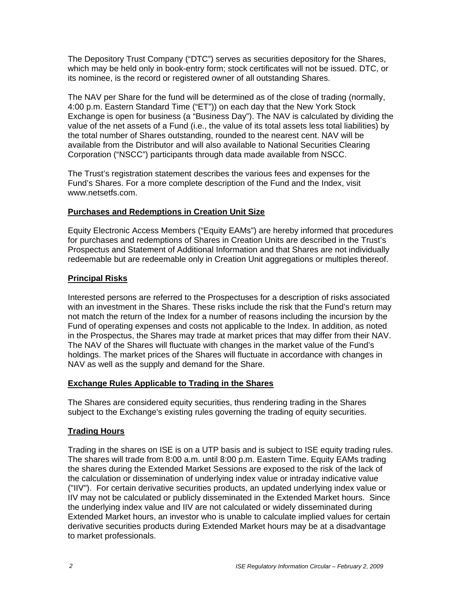The Depository Trust Company ("DTC") serves as securities depository for the Shares, which may be held only in book-entry form; stock certificates will not be issued. DTC, or its nominee, is the record or registered owner of all outstanding Shares.

The NAV per Share for the fund will be determined as of the close of trading (normally, 4:00 p.m. Eastern Standard Time ("ET")) on each day that the New York Stock Exchange is open for business (a "Business Day"). The NAV is calculated by dividing the value of the net assets of a Fund (i.e., the value of its total assets less total liabilities) by the total number of Shares outstanding, rounded to the nearest cent. NAV will be available from the Distributor and will also available to National Securities Clearing Corporation ("NSCC") participants through data made available from NSCC.

The Trust's registration statement describes the various fees and expenses for the Fund's Shares. For a more complete description of the Fund and the Index, visit www.netsetfs.com.

## **Purchases and Redemptions in Creation Unit Size**

Equity Electronic Access Members ("Equity EAMs") are hereby informed that procedures for purchases and redemptions of Shares in Creation Units are described in the Trust's Prospectus and Statement of Additional Information and that Shares are not individually redeemable but are redeemable only in Creation Unit aggregations or multiples thereof.

## **Principal Risks**

Interested persons are referred to the Prospectuses for a description of risks associated with an investment in the Shares. These risks include the risk that the Fund's return may not match the return of the Index for a number of reasons including the incursion by the Fund of operating expenses and costs not applicable to the Index. In addition, as noted in the Prospectus, the Shares may trade at market prices that may differ from their NAV. The NAV of the Shares will fluctuate with changes in the market value of the Fund's holdings. The market prices of the Shares will fluctuate in accordance with changes in NAV as well as the supply and demand for the Share.

# **Exchange Rules Applicable to Trading in the Shares**

The Shares are considered equity securities, thus rendering trading in the Shares subject to the Exchange's existing rules governing the trading of equity securities.

# **Trading Hours**

Trading in the shares on ISE is on a UTP basis and is subject to ISE equity trading rules. The shares will trade from 8:00 a.m. until 8:00 p.m. Eastern Time. Equity EAMs trading the shares during the Extended Market Sessions are exposed to the risk of the lack of the calculation or dissemination of underlying index value or intraday indicative value ("IIV"). For certain derivative securities products, an updated underlying index value or IIV may not be calculated or publicly disseminated in the Extended Market hours. Since the underlying index value and IIV are not calculated or widely disseminated during Extended Market hours, an investor who is unable to calculate implied values for certain derivative securities products during Extended Market hours may be at a disadvantage to market professionals.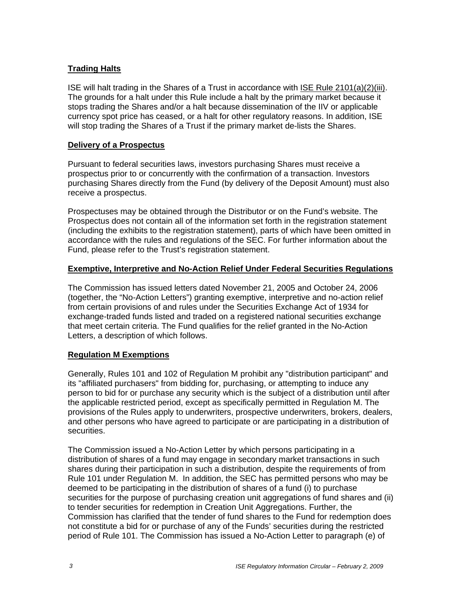## **Trading Halts**

ISE will halt trading in the Shares of a Trust in accordance with ISE Rule 2101(a)(2)(iii). The grounds for a halt under this Rule include a halt by the primary market because it stops trading the Shares and/or a halt because dissemination of the IIV or applicable currency spot price has ceased, or a halt for other regulatory reasons. In addition, ISE will stop trading the Shares of a Trust if the primary market de-lists the Shares.

#### **Delivery of a Prospectus**

Pursuant to federal securities laws, investors purchasing Shares must receive a prospectus prior to or concurrently with the confirmation of a transaction. Investors purchasing Shares directly from the Fund (by delivery of the Deposit Amount) must also receive a prospectus.

Prospectuses may be obtained through the Distributor or on the Fund's website. The Prospectus does not contain all of the information set forth in the registration statement (including the exhibits to the registration statement), parts of which have been omitted in accordance with the rules and regulations of the SEC. For further information about the Fund, please refer to the Trust's registration statement.

## **Exemptive, Interpretive and No-Action Relief Under Federal Securities Regulations**

The Commission has issued letters dated November 21, 2005 and October 24, 2006 (together, the "No-Action Letters") granting exemptive, interpretive and no-action relief from certain provisions of and rules under the Securities Exchange Act of 1934 for exchange-traded funds listed and traded on a registered national securities exchange that meet certain criteria. The Fund qualifies for the relief granted in the No-Action Letters, a description of which follows.

# **Regulation M Exemptions**

Generally, Rules 101 and 102 of Regulation M prohibit any "distribution participant" and its "affiliated purchasers" from bidding for, purchasing, or attempting to induce any person to bid for or purchase any security which is the subject of a distribution until after the applicable restricted period, except as specifically permitted in Regulation M. The provisions of the Rules apply to underwriters, prospective underwriters, brokers, dealers, and other persons who have agreed to participate or are participating in a distribution of securities.

The Commission issued a No-Action Letter by which persons participating in a distribution of shares of a fund may engage in secondary market transactions in such shares during their participation in such a distribution, despite the requirements of from Rule 101 under Regulation M. In addition, the SEC has permitted persons who may be deemed to be participating in the distribution of shares of a fund (i) to purchase securities for the purpose of purchasing creation unit aggregations of fund shares and (ii) to tender securities for redemption in Creation Unit Aggregations. Further, the Commission has clarified that the tender of fund shares to the Fund for redemption does not constitute a bid for or purchase of any of the Funds' securities during the restricted period of Rule 101. The Commission has issued a No-Action Letter to paragraph (e) of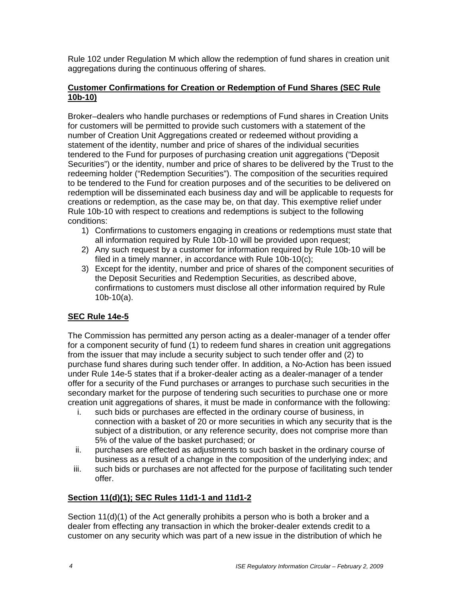Rule 102 under Regulation M which allow the redemption of fund shares in creation unit aggregations during the continuous offering of shares.

#### **Customer Confirmations for Creation or Redemption of Fund Shares (SEC Rule 10b-10)**

Broker–dealers who handle purchases or redemptions of Fund shares in Creation Units for customers will be permitted to provide such customers with a statement of the number of Creation Unit Aggregations created or redeemed without providing a statement of the identity, number and price of shares of the individual securities tendered to the Fund for purposes of purchasing creation unit aggregations ("Deposit Securities") or the identity, number and price of shares to be delivered by the Trust to the redeeming holder ("Redemption Securities"). The composition of the securities required to be tendered to the Fund for creation purposes and of the securities to be delivered on redemption will be disseminated each business day and will be applicable to requests for creations or redemption, as the case may be, on that day. This exemptive relief under Rule 10b-10 with respect to creations and redemptions is subject to the following conditions:

- 1) Confirmations to customers engaging in creations or redemptions must state that all information required by Rule 10b-10 will be provided upon request;
- 2) Any such request by a customer for information required by Rule 10b-10 will be filed in a timely manner, in accordance with Rule 10b-10(c);
- 3) Except for the identity, number and price of shares of the component securities of the Deposit Securities and Redemption Securities, as described above, confirmations to customers must disclose all other information required by Rule 10b-10(a).

# **SEC Rule 14e-5**

The Commission has permitted any person acting as a dealer-manager of a tender offer for a component security of fund (1) to redeem fund shares in creation unit aggregations from the issuer that may include a security subject to such tender offer and (2) to purchase fund shares during such tender offer. In addition, a No-Action has been issued under Rule 14e-5 states that if a broker-dealer acting as a dealer-manager of a tender offer for a security of the Fund purchases or arranges to purchase such securities in the secondary market for the purpose of tendering such securities to purchase one or more creation unit aggregations of shares, it must be made in conformance with the following:

- i. such bids or purchases are effected in the ordinary course of business, in connection with a basket of 20 or more securities in which any security that is the subject of a distribution, or any reference security, does not comprise more than 5% of the value of the basket purchased; or
- ii. purchases are effected as adjustments to such basket in the ordinary course of business as a result of a change in the composition of the underlying index; and
- iii. such bids or purchases are not affected for the purpose of facilitating such tender offer.

#### **Section 11(d)(1); SEC Rules 11d1-1 and 11d1-2**

Section 11(d)(1) of the Act generally prohibits a person who is both a broker and a dealer from effecting any transaction in which the broker-dealer extends credit to a customer on any security which was part of a new issue in the distribution of which he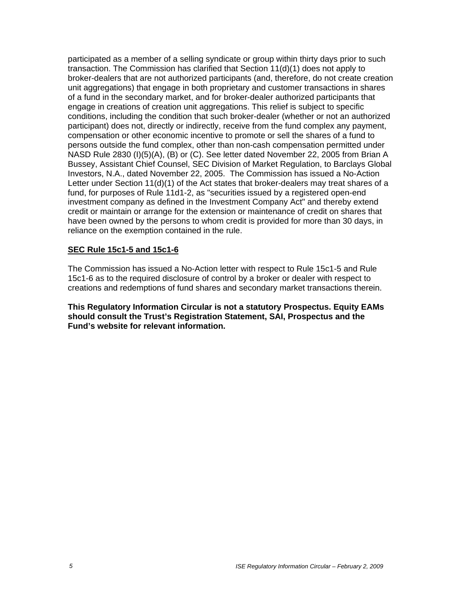participated as a member of a selling syndicate or group within thirty days prior to such transaction. The Commission has clarified that Section 11(d)(1) does not apply to broker-dealers that are not authorized participants (and, therefore, do not create creation unit aggregations) that engage in both proprietary and customer transactions in shares of a fund in the secondary market, and for broker-dealer authorized participants that engage in creations of creation unit aggregations. This relief is subject to specific conditions, including the condition that such broker-dealer (whether or not an authorized participant) does not, directly or indirectly, receive from the fund complex any payment, compensation or other economic incentive to promote or sell the shares of a fund to persons outside the fund complex, other than non-cash compensation permitted under NASD Rule 2830 (I)(5)(A), (B) or (C). See letter dated November 22, 2005 from Brian A Bussey, Assistant Chief Counsel, SEC Division of Market Regulation, to Barclays Global Investors, N.A., dated November 22, 2005. The Commission has issued a No-Action Letter under Section 11(d)(1) of the Act states that broker-dealers may treat shares of a fund, for purposes of Rule 11d1-2, as "securities issued by a registered open-end investment company as defined in the Investment Company Act" and thereby extend credit or maintain or arrange for the extension or maintenance of credit on shares that have been owned by the persons to whom credit is provided for more than 30 days, in reliance on the exemption contained in the rule.

#### **SEC Rule 15c1-5 and 15c1-6**

The Commission has issued a No-Action letter with respect to Rule 15c1-5 and Rule 15c1-6 as to the required disclosure of control by a broker or dealer with respect to creations and redemptions of fund shares and secondary market transactions therein.

**This Regulatory Information Circular is not a statutory Prospectus. Equity EAMs should consult the Trust's Registration Statement, SAI, Prospectus and the Fund's website for relevant information.**